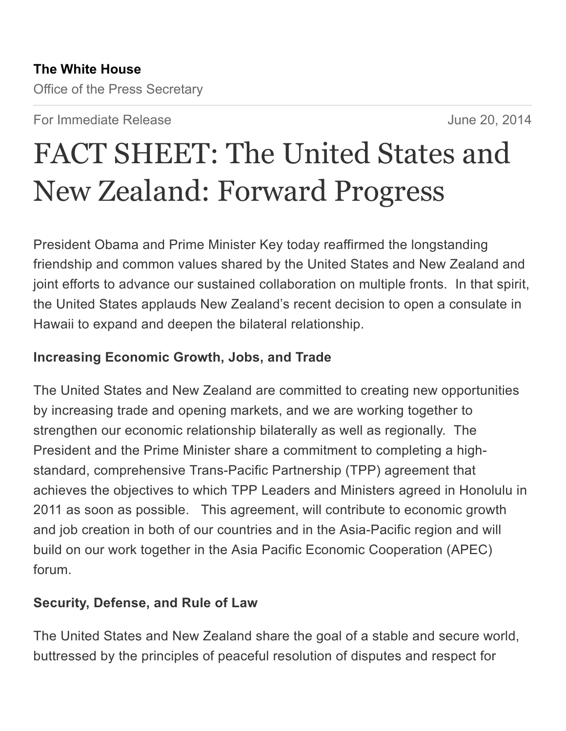Office of the Press Secretary

For Immediate Release **For Immediate Release** And The Second 19th Automateurs and *June 20, 2014* 

# FACT SHEET: The United States and New Zealand: Forward Progress

President Obama and Prime Minister Key today reaffirmed the longstanding friendship and common values shared by the United States and New Zealand and joint efforts to advance our sustained collaboration on multiple fronts. In that spirit, the United States applauds New Zealand's recent decision to open a consulate in Hawaii to expand and deepen the bilateral relationship.

## Increasing Economic Growth, Jobs, and Trade

The United States and New Zealand are committed to creating new opportunities by increasing trade and opening markets, and we are working together to strengthen our economic relationship bilaterally as well as regionally. The President and the Prime Minister share a commitment to completing a highstandard, comprehensive Trans-Pacific Partnership (TPP) agreement that achieves the objectives to which TPP Leaders and Ministers agreed in Honolulu in 2011 as soon as possible. This agreement, will contribute to economic growth and job creation in both of our countries and in the Asia-Pacific region and will build on our work together in the Asia Pacific Economic Cooperation (APEC) forum.

### Security, Defense, and Rule of Law

The United States and New Zealand share the goal of a stable and secure world, buttressed by the principles of peaceful resolution of disputes and respect for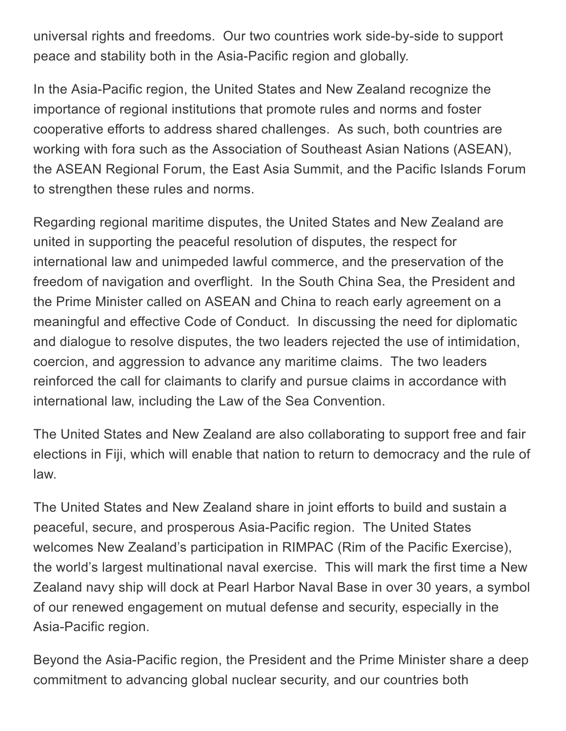universal rights and freedoms. Our two countries work side-by-side to support peace and stability both in the Asia-Pacific region and globally.

In the Asia-Pacific region, the United States and New Zealand recognize the importance of regional institutions that promote rules and norms and foster cooperative efforts to address shared challenges. As such, both countries are working with fora such as the Association of Southeast Asian Nations (ASEAN), the ASEAN Regional Forum, the East Asia Summit, and the Pacific Islands Forum to strengthen these rules and norms.

Regarding regional maritime disputes, the United States and New Zealand are united in supporting the peaceful resolution of disputes, the respect for international law and unimpeded lawful commerce, and the preservation of the freedom of navigation and overflight. In the South China Sea, the President and the Prime Minister called on ASEAN and China to reach early agreement on a meaningful and effective Code of Conduct. In discussing the need for diplomatic and dialogue to resolve disputes, the two leaders rejected the use of intimidation, coercion, and aggression to advance any maritime claims. The two leaders reinforced the call for claimants to clarify and pursue claims in accordance with international law, including the Law of the Sea Convention.

The United States and New Zealand are also collaborating to support free and fair elections in Fiji, which will enable that nation to return to democracy and the rule of law.

The United States and New Zealand share in joint efforts to build and sustain a peaceful, secure, and prosperous Asia-Pacific region. The United States welcomes New Zealand's participation in RIMPAC (Rim of the Pacific Exercise), the world's largest multinational naval exercise. This will mark the first time a New Zealand navy ship will dock at Pearl Harbor Naval Base in over 30 years, a symbol of our renewed engagement on mutual defense and security, especially in the Asia-Pacific region.

Beyond the Asia-Pacific region, the President and the Prime Minister share a deep commitment to advancing global nuclear security, and our countries both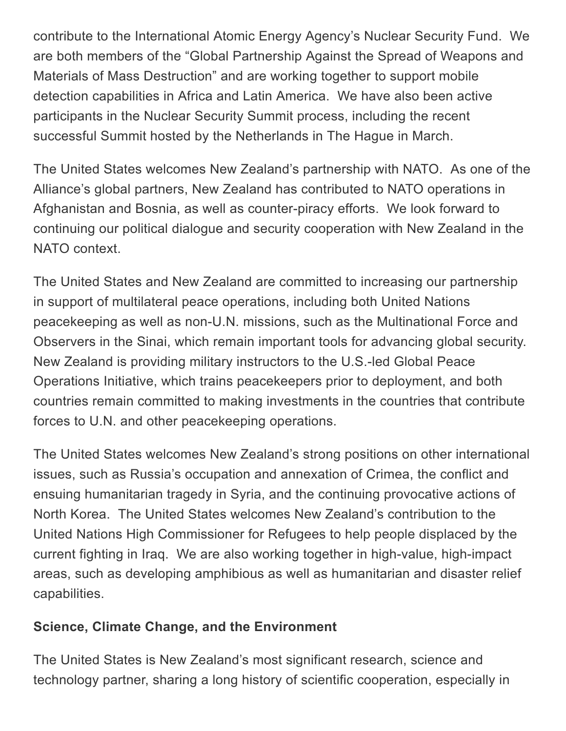contribute to the International Atomic Energy Agency's Nuclear Security Fund. We are both members of the "Global Partnership Against the Spread of Weapons and Materials of Mass Destruction" and are working together to support mobile detection capabilities in Africa and Latin America. We have also been active participants in the Nuclear Security Summit process, including the recent successful Summit hosted by the Netherlands in The Hague in March.

The United States welcomes New Zealand's partnership with NATO. As one of the Alliance's global partners, New Zealand has contributed to NATO operations in Afghanistan and Bosnia, as well as counter-piracy efforts. We look forward to continuing our political dialogue and security cooperation with New Zealand in the NATO context.

The United States and New Zealand are committed to increasing our partnership in support of multilateral peace operations, including both United Nations peacekeeping as well as non-U.N. missions, such as the Multinational Force and Observers in the Sinai, which remain important tools for advancing global security. New Zealand is providing military instructors to the U.S.-led Global Peace Operations Initiative, which trains peacekeepers prior to deployment, and both countries remain committed to making investments in the countries that contribute forces to U.N. and other peacekeeping operations.

The United States welcomes New Zealand's strong positions on other international issues, such as Russia's occupation and annexation of Crimea, the conflict and ensuing humanitarian tragedy in Syria, and the continuing provocative actions of North Korea. The United States welcomes New Zealand's contribution to the United Nations High Commissioner for Refugees to help people displaced by the current fighting in Iraq. We are also working together in high-value, high-impact areas, such as developing amphibious as well as humanitarian and disaster relief capabilities.

### Science, Climate Change, and the Environment

The United States is New Zealand's most significant research, science and technology partner, sharing a long history of scientific cooperation, especially in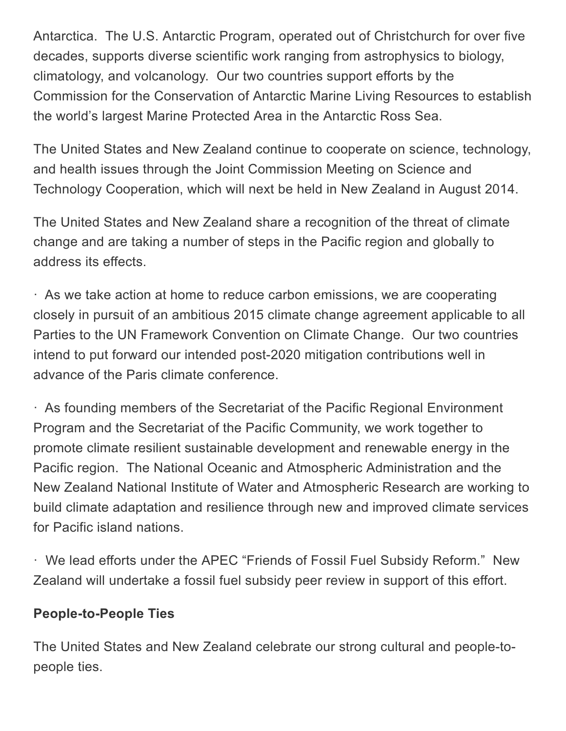Antarctica. The U.S. Antarctic Program, operated out of Christchurch for over five decades, supports diverse scientific work ranging from astrophysics to biology, climatology, and volcanology. Our two countries support efforts by the Commission for the Conservation of Antarctic Marine Living Resources to establish the world's largest Marine Protected Area in the Antarctic Ross Sea.

The United States and New Zealand continue to cooperate on science, technology, and health issues through the Joint Commission Meeting on Science and Technology Cooperation, which will next be held in New Zealand in August 2014.

The United States and New Zealand share a recognition of the threat of climate change and are taking a number of steps in the Pacific region and globally to address its effects.

· As we take action at home to reduce carbon emissions, we are cooperating closely in pursuit of an ambitious 2015 climate change agreement applicable to all Parties to the UN Framework Convention on Climate Change. Our two countries intend to put forward our intended post-2020 mitigation contributions well in advance of the Paris climate conference.

· As founding members of the Secretariat of the Pacific Regional Environment Program and the Secretariat of the Pacific Community, we work together to promote climate resilient sustainable development and renewable energy in the Pacific region. The National Oceanic and Atmospheric Administration and the New Zealand National Institute of Water and Atmospheric Research are working to build climate adaptation and resilience through new and improved climate services for Pacific island nations.

· We lead efforts under the APEC "Friends of Fossil Fuel Subsidy Reform." New Zealand will undertake a fossil fuel subsidy peer review in support of this effort.

#### People-to-People Ties

The United States and New Zealand celebrate our strong cultural and people-topeople ties.